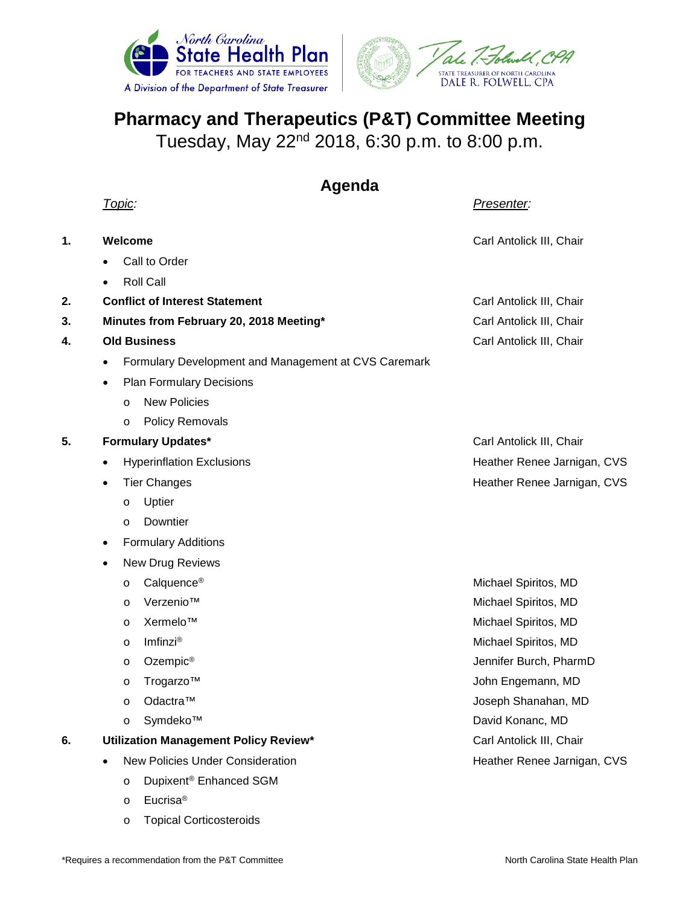



## **Pharmacy and Therapeutics (P&T) Committee Meeting**

Tuesday, May 22nd 2018, 6:30 p.m. to 8:00 p.m.

## **Agenda**

*Topic:**Presenter:*

| 1. |                                       | Welcome                                              | Carl Antolick III, Chair    |
|----|---------------------------------------|------------------------------------------------------|-----------------------------|
|    |                                       | Call to Order                                        |                             |
|    |                                       | <b>Roll Call</b>                                     |                             |
| 2. |                                       | <b>Conflict of Interest Statement</b>                | Carl Antolick III, Chair    |
| 3. |                                       | Minutes from February 20, 2018 Meeting*              | Carl Antolick III, Chair    |
| 4. | <b>Old Business</b>                   |                                                      | Carl Antolick III, Chair    |
|    | $\bullet$                             | Formulary Development and Management at CVS Caremark |                             |
|    | $\bullet$                             | <b>Plan Formulary Decisions</b>                      |                             |
|    |                                       | <b>New Policies</b><br>$\circ$                       |                             |
|    |                                       | <b>Policy Removals</b><br>$\circ$                    |                             |
| 5. | <b>Formulary Updates*</b>             |                                                      | Carl Antolick III, Chair    |
|    | $\bullet$                             | <b>Hyperinflation Exclusions</b>                     | Heather Renee Jarnigan, CVS |
|    |                                       | <b>Tier Changes</b>                                  | Heather Renee Jarnigan, CVS |
|    |                                       | Uptier<br>$\circ$                                    |                             |
|    |                                       | Downtier<br>$\circ$                                  |                             |
|    | $\bullet$                             | <b>Formulary Additions</b>                           |                             |
|    | $\bullet$                             | New Drug Reviews                                     |                             |
|    |                                       | Calquence <sup>®</sup><br>$\circ$                    | Michael Spiritos, MD        |
|    |                                       | Verzenio™<br>$\circ$                                 | Michael Spiritos, MD        |
|    |                                       | Xermelo™<br>$\circ$                                  | Michael Spiritos, MD        |
|    |                                       | Imfinzi®<br>$\circ$                                  | Michael Spiritos, MD        |
|    |                                       | Ozempic <sup>®</sup><br>$\circ$                      | Jennifer Burch, PharmD      |
|    |                                       | Trogarzo™<br>$\circ$                                 | John Engemann, MD           |
|    |                                       | Odactra™<br>$\circ$                                  | Joseph Shanahan, MD         |
|    |                                       | Symdeko™<br>$\circ$                                  | David Konanc, MD            |
| 6. | Utilization Management Policy Review* |                                                      | Carl Antolick III, Chair    |
|    | $\bullet$                             | <b>New Policies Under Consideration</b>              | Heather Renee Jarnigan, CVS |
|    |                                       | Dupixent <sup>®</sup> Enhanced SGM<br>$\circ$        |                             |
|    |                                       | Eucrisa <sup>®</sup><br>$\circ$                      |                             |

o Topical Corticosteroids